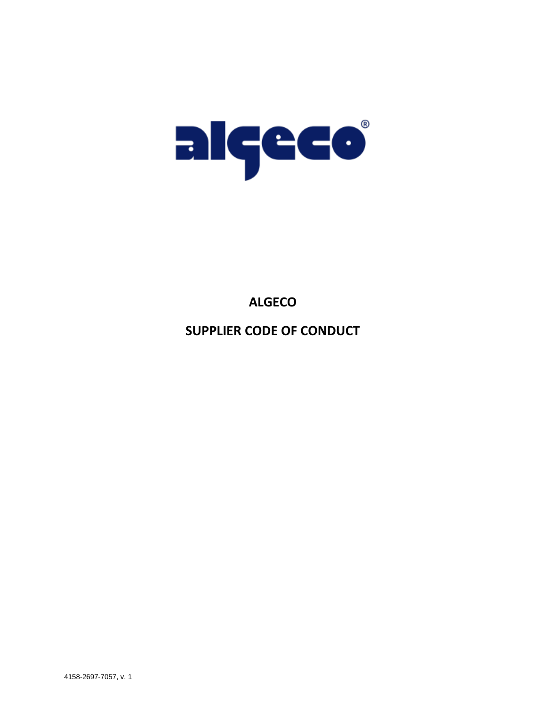

# **ALGECO**

**SUPPLIER CODE OF CONDUCT**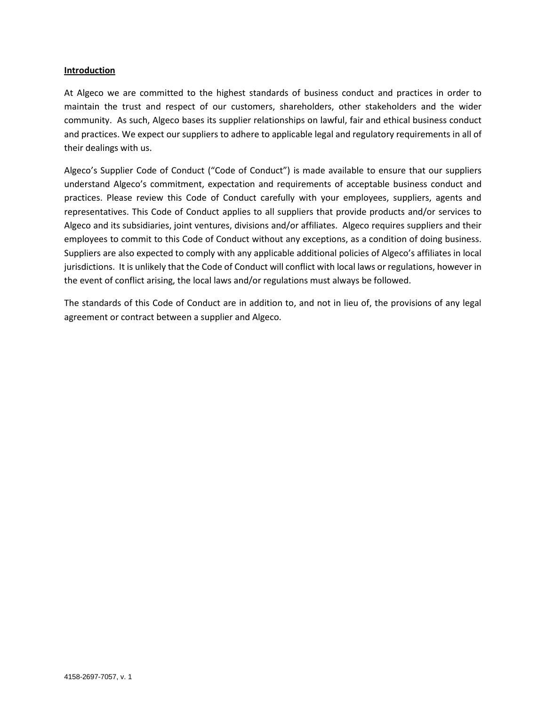## **Introduction**

At Algeco we are committed to the highest standards of business conduct and practices in order to maintain the trust and respect of our customers, shareholders, other stakeholders and the wider community. As such, Algeco bases its supplier relationships on lawful, fair and ethical business conduct and practices. We expect our suppliers to adhere to applicable legal and regulatory requirements in all of their dealings with us.

Algeco's Supplier Code of Conduct ("Code of Conduct") is made available to ensure that our suppliers understand Algeco's commitment, expectation and requirements of acceptable business conduct and practices. Please review this Code of Conduct carefully with your employees, suppliers, agents and representatives. This Code of Conduct applies to all suppliers that provide products and/or services to Algeco and its subsidiaries, joint ventures, divisions and/or affiliates. Algeco requires suppliers and their employees to commit to this Code of Conduct without any exceptions, as a condition of doing business. Suppliers are also expected to comply with any applicable additional policies of Algeco's affiliates in local jurisdictions. It is unlikely that the Code of Conduct will conflict with local laws or regulations, however in the event of conflict arising, the local laws and/or regulations must always be followed.

The standards of this Code of Conduct are in addition to, and not in lieu of, the provisions of any legal agreement or contract between a supplier and Algeco.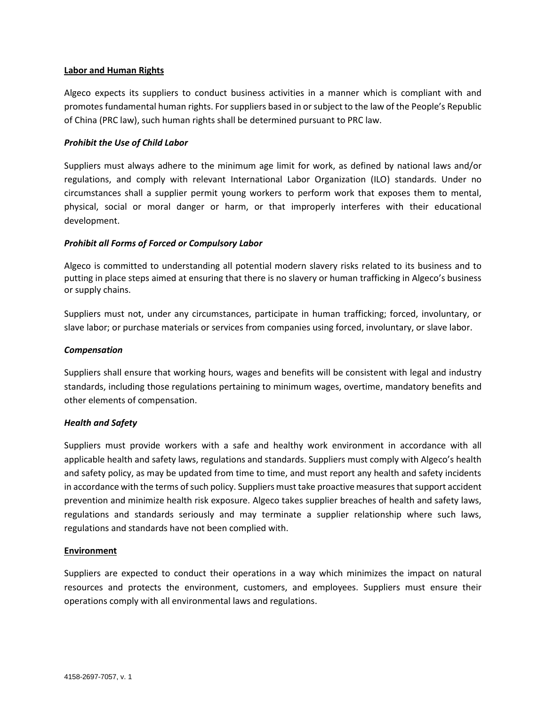## **Labor and Human Rights**

Algeco expects its suppliers to conduct business activities in a manner which is compliant with and promotes fundamental human rights. For suppliers based in or subject to the law of the People's Republic of China (PRC law), such human rights shall be determined pursuant to PRC law.

# *Prohibit the Use of Child Labor*

Suppliers must always adhere to the minimum age limit for work, as defined by national laws and/or regulations, and comply with relevant International Labor Organization (ILO) standards. Under no circumstances shall a supplier permit young workers to perform work that exposes them to mental, physical, social or moral danger or harm, or that improperly interferes with their educational development.

## *Prohibit all Forms of Forced or Compulsory Labor*

Algeco is committed to understanding all potential modern slavery risks related to its business and to putting in place steps aimed at ensuring that there is no slavery or human trafficking in Algeco's business or supply chains.

Suppliers must not, under any circumstances, participate in human trafficking; forced, involuntary, or slave labor; or purchase materials or services from companies using forced, involuntary, or slave labor.

## *Compensation*

Suppliers shall ensure that working hours, wages and benefits will be consistent with legal and industry standards, including those regulations pertaining to minimum wages, overtime, mandatory benefits and other elements of compensation.

### *Health and Safety*

Suppliers must provide workers with a safe and healthy work environment in accordance with all applicable health and safety laws, regulations and standards. Suppliers must comply with Algeco's health and safety policy, as may be updated from time to time, and must report any health and safety incidents in accordance with the terms of such policy. Suppliers must take proactive measures that support accident prevention and minimize health risk exposure. Algeco takes supplier breaches of health and safety laws, regulations and standards seriously and may terminate a supplier relationship where such laws, regulations and standards have not been complied with.

### **Environment**

Suppliers are expected to conduct their operations in a way which minimizes the impact on natural resources and protects the environment, customers, and employees. Suppliers must ensure their operations comply with all environmental laws and regulations.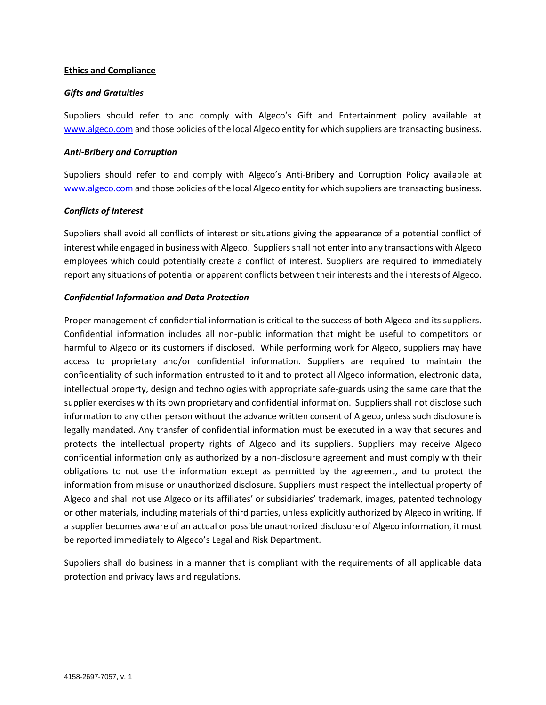## **Ethics and Compliance**

# *Gifts and Gratuities*

Suppliers should refer to and comply with Algeco's Gift and Entertainment policy available at [www.algeco.com](http://www.algeco.com/) and those policies of the local Algeco entity for which suppliers are transacting business.

## *Anti-Bribery and Corruption*

Suppliers should refer to and comply with Algeco's Anti-Bribery and Corruption Policy available at [www.algeco.com](http://www.algeco.com/) and those policies of the local Algeco entity for which suppliers are transacting business.

# *Conflicts of Interest*

Suppliers shall avoid all conflicts of interest or situations giving the appearance of a potential conflict of interest while engaged in business with Algeco. Suppliers shall not enter into any transactions with Algeco employees which could potentially create a conflict of interest. Suppliers are required to immediately report any situations of potential or apparent conflicts between their interests and the interests of Algeco.

## *Confidential Information and Data Protection*

Proper management of confidential information is critical to the success of both Algeco and its suppliers. Confidential information includes all non-public information that might be useful to competitors or harmful to Algeco or its customers if disclosed. While performing work for Algeco, suppliers may have access to proprietary and/or confidential information. Suppliers are required to maintain the confidentiality of such information entrusted to it and to protect all Algeco information, electronic data, intellectual property, design and technologies with appropriate safe-guards using the same care that the supplier exercises with its own proprietary and confidential information. Suppliers shall not disclose such information to any other person without the advance written consent of Algeco, unless such disclosure is legally mandated. Any transfer of confidential information must be executed in a way that secures and protects the intellectual property rights of Algeco and its suppliers. Suppliers may receive Algeco confidential information only as authorized by a non-disclosure agreement and must comply with their obligations to not use the information except as permitted by the agreement, and to protect the information from misuse or unauthorized disclosure. Suppliers must respect the intellectual property of Algeco and shall not use Algeco or its affiliates' or subsidiaries' trademark, images, patented technology or other materials, including materials of third parties, unless explicitly authorized by Algeco in writing. If a supplier becomes aware of an actual or possible unauthorized disclosure of Algeco information, it must be reported immediately to Algeco's Legal and Risk Department.

Suppliers shall do business in a manner that is compliant with the requirements of all applicable data protection and privacy laws and regulations.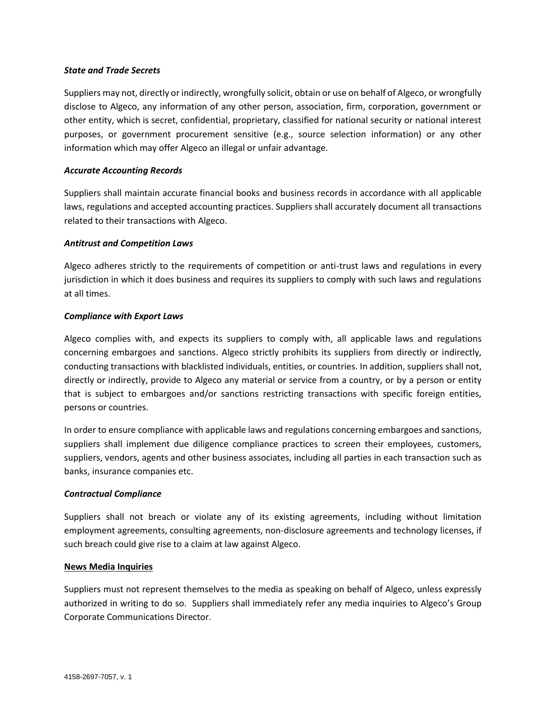# *State and Trade Secrets*

Suppliers may not, directly or indirectly, wrongfully solicit, obtain or use on behalf of Algeco, or wrongfully disclose to Algeco, any information of any other person, association, firm, corporation, government or other entity, which is secret, confidential, proprietary, classified for national security or national interest purposes, or government procurement sensitive (e.g., source selection information) or any other information which may offer Algeco an illegal or unfair advantage.

## *Accurate Accounting Records*

Suppliers shall maintain accurate financial books and business records in accordance with all applicable laws, regulations and accepted accounting practices. Suppliers shall accurately document all transactions related to their transactions with Algeco.

## *Antitrust and Competition Laws*

Algeco adheres strictly to the requirements of competition or anti-trust laws and regulations in every jurisdiction in which it does business and requires its suppliers to comply with such laws and regulations at all times.

# *Compliance with Export Laws*

Algeco complies with, and expects its suppliers to comply with, all applicable laws and regulations concerning embargoes and sanctions. Algeco strictly prohibits its suppliers from directly or indirectly, conducting transactions with blacklisted individuals, entities, or countries. In addition, suppliers shall not, directly or indirectly, provide to Algeco any material or service from a country, or by a person or entity that is subject to embargoes and/or sanctions restricting transactions with specific foreign entities, persons or countries.

In order to ensure compliance with applicable laws and regulations concerning embargoes and sanctions, suppliers shall implement due diligence compliance practices to screen their employees, customers, suppliers, vendors, agents and other business associates, including all parties in each transaction such as banks, insurance companies etc.

### *Contractual Compliance*

Suppliers shall not breach or violate any of its existing agreements, including without limitation employment agreements, consulting agreements, non-disclosure agreements and technology licenses, if such breach could give rise to a claim at law against Algeco.

### **News Media Inquiries**

Suppliers must not represent themselves to the media as speaking on behalf of Algeco, unless expressly authorized in writing to do so. Suppliers shall immediately refer any media inquiries to Algeco's Group Corporate Communications Director.